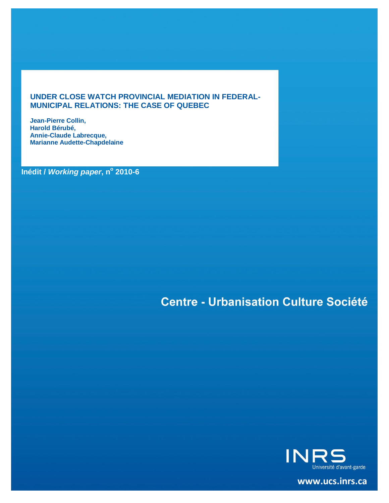#### **UNDER CLOSE WATCH PROVINCIAL MEDIATION IN FEDERAL-MUNICIPAL RELATIONS: THE CASE OF QUEBEC**

**Jean-Pierre Collin, Harold Bérubé, Annie-Claude Labrecque, Marianne Audette-Chapdelaine**

**Inédit /** *Working paper***, n<sup>o</sup> 2010-6**

# **Centre - Urbanisation Culture Société**



**[www.ucs.inrs.ca](http://www.ucs.inrs.ca/)**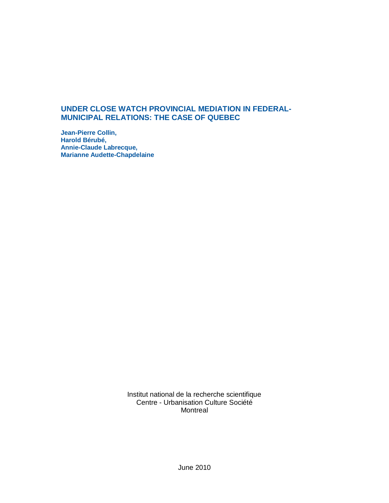#### **UNDER CLOSE WATCH PROVINCIAL MEDIATION IN FEDERAL-MUNICIPAL RELATIONS: THE CASE OF QUEBEC**

**Jean-Pierre Collin, Harold Bérubé, Annie-Claude Labrecque, Marianne Audette-Chapdelaine**

> Institut national de la recherche scientifique Centre - Urbanisation Culture Société Montreal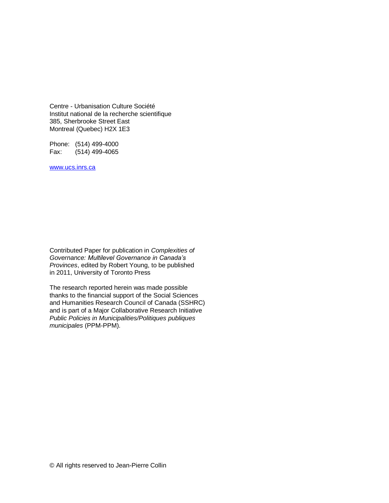Centre - Urbanisation Culture Société Institut national de la recherche scientifique 385, Sherbrooke Street East Montreal (Quebec) H2X 1E3

Phone: (514) 499-4000 Fax: (514) 499-4065

[www.ucs.inrs.ca](http://www.ucs.inrs.ca/)

Contributed Paper for publication in *Complexities of Governance: Multilevel Governance in Canada's Provinces*, edited by Robert Young, to be published in 2011, University of Toronto Press

The research reported herein was made possible thanks to the financial support of the Social Sciences and Humanities Research Council of Canada (SSHRC) and is part of a Major Collaborative Research Initiative *Public Policies in Municipalities/Politiques publiques municipales* (PPM-PPM).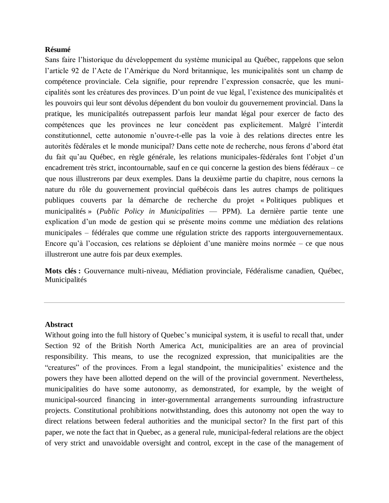#### **Résumé**

Sans faire l'historique du développement du système municipal au Québec, rappelons que selon l'article 92 de l'Acte de l'Amérique du Nord britannique, les municipalités sont un champ de compétence provinciale. Cela signifie, pour reprendre l'expression consacrée, que les municipalités sont les créatures des provinces. D'un point de vue légal, l'existence des municipalités et les pouvoirs qui leur sont dévolus dépendent du bon vouloir du gouvernement provincial. Dans la pratique, les municipalités outrepassent parfois leur mandat légal pour exercer de facto des compétences que les provinces ne leur concèdent pas explicitement. Malgré l'interdit constitutionnel, cette autonomie n'ouvre-t-elle pas la voie à des relations directes entre les autorités fédérales et le monde municipal? Dans cette note de recherche, nous ferons d'abord état du fait qu'au Québec, en règle générale, les relations municipales-fédérales font l'objet d'un encadrement très strict, incontournable, sauf en ce qui concerne la gestion des biens fédéraux – ce que nous illustrerons par deux exemples. Dans la deuxième partie du chapitre, nous cernons la nature du rôle du gouvernement provincial québécois dans les autres champs de politiques publiques couverts par la démarche de recherche du projet « Politiques publiques et municipalités » (*Public Policy in Municipalities* — PPM). La dernière partie tente une explication d'un mode de gestion qui se présente moins comme une médiation des relations municipales – fédérales que comme une régulation stricte des rapports intergouvernementaux. Encore qu'à l'occasion, ces relations se déploient d'une manière moins normée – ce que nous illustreront une autre fois par deux exemples.

**Mots clés :** Gouvernance multi-niveau, Médiation provinciale, Fédéralisme canadien, Québec, Municipalités

#### **Abstract**

Without going into the full history of Quebec's municipal system, it is useful to recall that, under Section 92 of the British North America Act, municipalities are an area of provincial responsibility. This means, to use the recognized expression, that municipalities are the ―creatures‖ of the provinces. From a legal standpoint, the municipalities' existence and the powers they have been allotted depend on the will of the provincial government. Nevertheless, municipalities do have some autonomy, as demonstrated, for example, by the weight of municipal-sourced financing in inter-governmental arrangements surrounding infrastructure projects. Constitutional prohibitions notwithstanding, does this autonomy not open the way to direct relations between federal authorities and the municipal sector? In the first part of this paper, we note the fact that in Quebec, as a general rule, municipal-federal relations are the object of very strict and unavoidable oversight and control, except in the case of the management of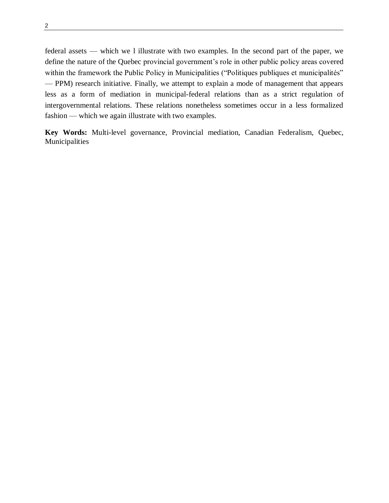federal assets — which we l illustrate with two examples. In the second part of the paper, we define the nature of the Quebec provincial government's role in other public policy areas covered within the framework the Public Policy in Municipalities ("Politiques publiques et municipalités" — PPM) research initiative. Finally, we attempt to explain a mode of management that appears less as a form of mediation in municipal-federal relations than as a strict regulation of intergovernmental relations. These relations nonetheless sometimes occur in a less formalized fashion — which we again illustrate with two examples.

**Key Words:** Multi-level governance, Provincial mediation, Canadian Federalism, Quebec, Municipalities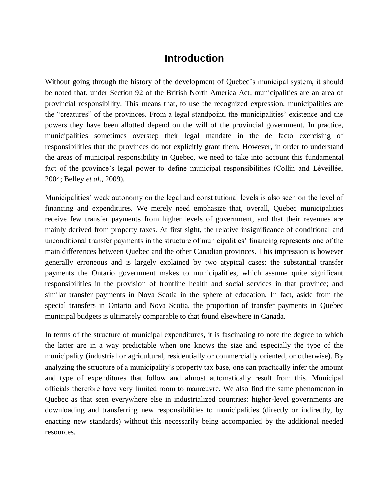### **Introduction**

Without going through the history of the development of Quebec's municipal system, it should be noted that, under Section 92 of the British North America Act, municipalities are an area of provincial responsibility. This means that, to use the recognized expression, municipalities are the "creatures" of the provinces. From a legal standpoint, the municipalities' existence and the powers they have been allotted depend on the will of the provincial government. In practice, municipalities sometimes overstep their legal mandate in the de facto exercising of responsibilities that the provinces do not explicitly grant them. However, in order to understand the areas of municipal responsibility in Quebec, we need to take into account this fundamental fact of the province's legal power to define municipal responsibilities (Collin and Léveillée, 2004; Belley *et al*., 2009).

Municipalities' weak autonomy on the legal and constitutional levels is also seen on the level of financing and expenditures. We merely need emphasize that, overall, Quebec municipalities receive few transfer payments from higher levels of government, and that their revenues are mainly derived from property taxes. At first sight, the relative insignificance of conditional and unconditional transfer payments in the structure of municipalities' financing represents one of the main differences between Quebec and the other Canadian provinces. This impression is however generally erroneous and is largely explained by two atypical cases: the substantial transfer payments the Ontario government makes to municipalities, which assume quite significant responsibilities in the provision of frontline health and social services in that province; and similar transfer payments in Nova Scotia in the sphere of education. In fact, aside from the special transfers in Ontario and Nova Scotia, the proportion of transfer payments in Quebec municipal budgets is ultimately comparable to that found elsewhere in Canada.

In terms of the structure of municipal expenditures, it is fascinating to note the degree to which the latter are in a way predictable when one knows the size and especially the type of the municipality (industrial or agricultural, residentially or commercially oriented, or otherwise). By analyzing the structure of a municipality's property tax base, one can practically infer the amount and type of expenditures that follow and almost automatically result from this. Municipal officials therefore have very limited room to manœuvre. We also find the same phenomenon in Quebec as that seen everywhere else in industrialized countries: higher-level governments are downloading and transferring new responsibilities to municipalities (directly or indirectly, by enacting new standards) without this necessarily being accompanied by the additional needed resources.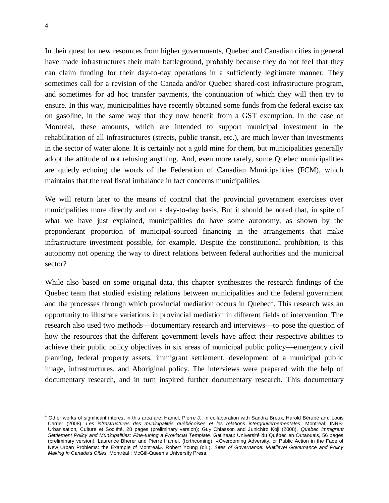In their quest for new resources from higher governments, Quebec and Canadian cities in general have made infrastructures their main battleground, probably because they do not feel that they can claim funding for their day-to-day operations in a sufficiently legitimate manner. They sometimes call for a revision of the Canada and/or Quebec shared-cost infrastructure program, and sometimes for ad hoc transfer payments, the continuation of which they will then try to ensure. In this way, municipalities have recently obtained some funds from the federal excise tax on gasoline, in the same way that they now benefit from a GST exemption. In the case of Montréal, these amounts, which are intended to support municipal investment in the rehabilitation of all infrastructures (streets, public transit, etc.), are much lower than investments in the sector of water alone. It is certainly not a gold mine for them, but municipalities generally adopt the attitude of not refusing anything. And, even more rarely, some Quebec municipalities are quietly echoing the words of the Federation of Canadian Municipalities (FCM), which maintains that the real fiscal imbalance in fact concerns municipalities.

We will return later to the means of control that the provincial government exercises over municipalities more directly and on a day-to-day basis. But it should be noted that, in spite of what we have just explained, municipalities do have some autonomy, as shown by the preponderant proportion of municipal-sourced financing in the arrangements that make infrastructure investment possible, for example. Despite the constitutional prohibition, is this autonomy not opening the way to direct relations between federal authorities and the municipal sector?

While also based on some original data, this chapter synthesizes the research findings of the Quebec team that studied existing relations between municipalities and the federal government and the processes through which provincial mediation occurs in Quebec $<sup>1</sup>$ . This research was an</sup> opportunity to illustrate variations in provincial mediation in different fields of intervention. The research also used two methods—documentary research and interviews—to pose the question of how the resources that the different government levels have affect their respective abilities to achieve their public policy objectives in six areas of municipal public policy—emergency civil planning, federal property assets, immigrant settlement, development of a municipal public image, infrastructures, and Aboriginal policy. The interviews were prepared with the help of documentary research, and in turn inspired further documentary research. This documentary

<sup>1</sup> Other works of significant interest in this area are: Hamel, Pierre J., in collaboration with Sandra Breux, Harold Bérubé and Louis Carrier (2008). *Les infrastructures des municipalités québécoises et les relations intergouvernementales*. Montréal: INRS-Urbanisation, Culture et Société, 28 pages (preliminary version); Guy Chiasson and Junichiro Koji (2008). *Quebec Immigrant Settlement Policy and Municipalities: Fine-tuning a Provincial Template*. Gatineau: Université du Québec en Outaouais, 56 pages (preliminary version); Laurence Bherer and Pierre Hamel. (forthcoming). **«**Overcoming Adversity, or Public Action in the Face of New Urban Problems: the Example of Montreal». Robert Young (dir.). *Sites of Governance: Multilevel Governance and Policy Making in Canada's Cities.* Montréal : McGill-Queen's University Press.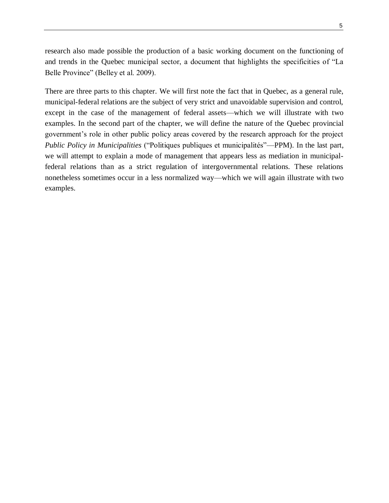research also made possible the production of a basic working document on the functioning of and trends in the Quebec municipal sector, a document that highlights the specificities of "La Belle Province" (Belley et al. 2009).

There are three parts to this chapter. We will first note the fact that in Quebec, as a general rule, municipal-federal relations are the subject of very strict and unavoidable supervision and control, except in the case of the management of federal assets—which we will illustrate with two examples. In the second part of the chapter, we will define the nature of the Quebec provincial government's role in other public policy areas covered by the research approach for the project *Public Policy in Municipalities* ("Politiques publiques et municipalités"—PPM). In the last part, we will attempt to explain a mode of management that appears less as mediation in municipalfederal relations than as a strict regulation of intergovernmental relations. These relations nonetheless sometimes occur in a less normalized way—which we will again illustrate with two examples.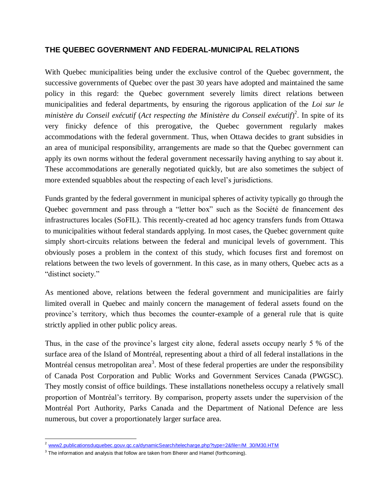#### **THE QUEBEC GOVERNMENT AND FEDERAL-MUNICIPAL RELATIONS**

With Quebec municipalities being under the exclusive control of the Quebec government, the successive governments of Quebec over the past 30 years have adopted and maintained the same policy in this regard: the Quebec government severely limits direct relations between municipalities and federal departments, by ensuring the rigorous application of the *Loi sur le ministère du Conseil exécutif* (*Act respecting the Ministère du Conseil exécutif*) 2 . In spite of its very finicky defence of this prerogative, the Quebec government regularly makes accommodations with the federal government. Thus, when Ottawa decides to grant subsidies in an area of municipal responsibility, arrangements are made so that the Quebec government can apply its own norms without the federal government necessarily having anything to say about it. These accommodations are generally negotiated quickly, but are also sometimes the subject of more extended squabbles about the respecting of each level's jurisdictions.

Funds granted by the federal government in municipal spheres of activity typically go through the Quebec government and pass through a "letter box" such as the Société de financement des infrastructures locales (SoFIL). This recently-created ad hoc agency transfers funds from Ottawa to municipalities without federal standards applying. In most cases, the Quebec government quite simply short-circuits relations between the federal and municipal levels of government. This obviously poses a problem in the context of this study, which focuses first and foremost on relations between the two levels of government. In this case, as in many others, Quebec acts as a "distinct society."

As mentioned above, relations between the federal government and municipalities are fairly limited overall in Quebec and mainly concern the management of federal assets found on the province's territory, which thus becomes the counter-example of a general rule that is quite strictly applied in other public policy areas.

Thus, in the case of the province's largest city alone, federal assets occupy nearly 5 % of the surface area of the Island of Montréal, representing about a third of all federal installations in the Montréal census metropolitan area<sup>3</sup>. Most of these federal properties are under the responsibility of Canada Post Corporation and Public Works and Government Services Canada (PWGSC). They mostly consist of office buildings. These installations nonetheless occupy a relatively small proportion of Montréal's territory. By comparison, property assets under the supervision of the Montréal Port Authority, Parks Canada and the Department of National Defence are less numerous, but cover a proportionately larger surface area.

<sup>&</sup>lt;sup>2</sup> www2.publicationsduquebec.gouv.gc.ca/dynamicSearch/telecharge.php?type=2&file=/M\_30/M30.HTM

 $^3$  The information and analysis that follow are taken from Bherer and Hamel (forthcoming).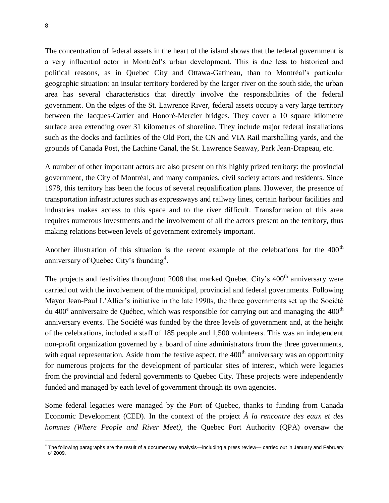The concentration of federal assets in the heart of the island shows that the federal government is a very influential actor in Montréal's urban development. This is due less to historical and political reasons, as in Quebec City and Ottawa-Gatineau, than to Montréal's particular geographic situation: an insular territory bordered by the larger river on the south side, the urban area has several characteristics that directly involve the responsibilities of the federal government. On the edges of the St. Lawrence River, federal assets occupy a very large territory between the Jacques-Cartier and Honoré-Mercier bridges. They cover a 10 square kilometre surface area extending over 31 kilometres of shoreline. They include major federal installations such as the docks and facilities of the Old Port, the CN and VIA Rail marshalling yards, and the grounds of Canada Post, the Lachine Canal, the St. Lawrence Seaway, Park Jean-Drapeau, etc.

A number of other important actors are also present on this highly prized territory: the provincial government, the City of Montréal, and many companies, civil society actors and residents. Since 1978, this territory has been the focus of several requalification plans. However, the presence of transportation infrastructures such as expressways and railway lines, certain harbour facilities and industries makes access to this space and to the river difficult. Transformation of this area requires numerous investments and the involvement of all the actors present on the territory, thus making relations between levels of government extremely important.

Another illustration of this situation is the recent example of the celebrations for the  $400<sup>th</sup>$ anniversary of Quebec City's founding<sup>4</sup>.

The projects and festivities throughout 2008 that marked Quebec City's 400<sup>th</sup> anniversary were carried out with the involvement of the municipal, provincial and federal governments. Following Mayor Jean-Paul L'Allier's initiative in the late 1990s, the three governments set up the Société du 400 $^{\circ}$  anniversaire de Québec, which was responsible for carrying out and managing the 400 $^{\text{th}}$ anniversary events. The Société was funded by the three levels of government and, at the height of the celebrations, included a staff of 185 people and 1,500 volunteers. This was an independent non-profit organization governed by a board of nine administrators from the three governments, with equal representation. Aside from the festive aspect, the  $400<sup>th</sup>$  anniversary was an opportunity for numerous projects for the development of particular sites of interest, which were legacies from the provincial and federal governments to Quebec City. These projects were independently funded and managed by each level of government through its own agencies.

Some federal legacies were managed by the Port of Quebec, thanks to funding from Canada Economic Development (CED). In the context of the project *À la rencontre des eaux et des hommes (Where People and River Meet),* the Quebec Port Authority (QPA) oversaw the

 4 The following paragraphs are the result of a documentary analysis—including a press review— carried out in January and February of 2009.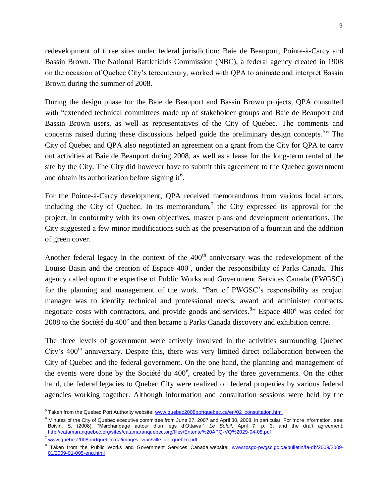redevelopment of three sites under federal jurisdiction: Baie de Beauport, Pointe-à-Carcy and Bassin Brown. The National Battlefields Commission (NBC), a federal agency created in 1908 on the occasion of Quebec City's tercentenary, worked with QPA to animate and interpret Bassin Brown during the summer of 2008.

During the design phase for the Baie de Beauport and Bassin Brown projects, QPA consulted with "extended technical committees made up of stakeholder groups and Baie de Beauport and Bassin Brown users, as well as representatives of the City of Quebec. The comments and concerns raised during these discussions helped guide the preliminary design concepts.<sup>5</sup>" The City of Quebec and QPA also negotiated an agreement on a grant from the City for QPA to carry out activities at Baie de Beauport during 2008, as well as a lease for the long-term rental of the site by the City. The City did however have to submit this agreement to the Quebec government and obtain its authorization before signing it<sup>6</sup>.

For the Pointe-à-Carcy development, QPA received memorandums from various local actors, including the City of Quebec. In its memorandum,<sup>7</sup> the City expressed its approval for the project, in conformity with its own objectives, master plans and development orientations. The City suggested a few minor modifications such as the preservation of a fountain and the addition of green cover.

Another federal legacy in the context of the  $400<sup>th</sup>$  anniversary was the redevelopment of the Louise Basin and the creation of Espace 400°, under the responsibility of Parks Canada. This agency called upon the expertise of Public Works and Government Services Canada (PWGSC) for the planning and management of the work. "Part of PWGSC's responsibility as project manager was to identify technical and professional needs, award and administer contracts, negotiate costs with contractors, and provide goods and services.<sup>8</sup><sup>3</sup> Espace 400<sup>e</sup> was ceded for 2008 to the Société du 400<sup>e</sup> and then became a Parks Canada discovery and exhibition centre.

The three levels of government were actively involved in the activities surrounding Quebec City's 400<sup>th</sup> anniversary. Despite this, there was very limited direct collaboration between the City of Quebec and the federal government. On the one hand, the planning and management of the events were done by the Société du 400<sup>e</sup>, created by the three governments. On the other hand, the federal legacies to Quebec City were realized on federal properties by various federal agencies working together. Although information and consultation sessions were held by the

 5 Taken from the Quebec Port Authority website: [www.quebec2008portquebec.ca/en/02\\_consultation.html](http://www.quebec2008portquebec.ca/en/02_consultation.html)

 $6$  Minutes of the City of Quebec executive committee from June 27, 2007 and April 30, 2008, in particular. For more information, see: Boivin, S. (2008). "Marchandage autour d'un legs d'Ottawa," *Le Soleil*, April 7, p. 3, and the draft agreement: <http://catamaranquebec.org/sites/catamaranquebec.org/files/Entente%20APQ-VQ%2029-04-08.pdf>

[www.quebec2008portquebec.ca/images\\_vrac/ville\\_de\\_quebec.pdf](http://www.quebec2008portquebec.ca/images_vrac/ville_de_quebec.pdf)

<sup>&</sup>lt;sup>8</sup> Taken from the Public Works and Government Services Canada website: [www.tpsgc-pwgsc.gc.ca/bulletin/fa-db/2009/2009-](http://www.tpsgc-pwgsc.gc.ca/bulletin/fa-db/2009/2009-01/2009-01-005-eng.html) [01/2009-01-005-eng.html](http://www.tpsgc-pwgsc.gc.ca/bulletin/fa-db/2009/2009-01/2009-01-005-eng.html)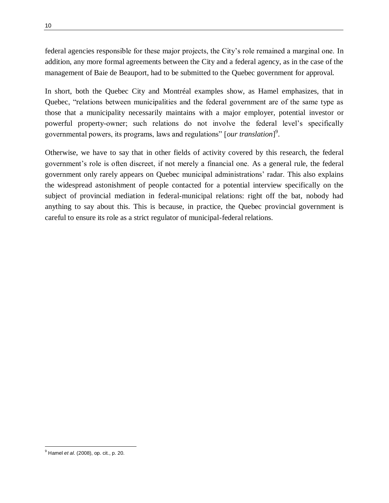federal agencies responsible for these major projects, the City's role remained a marginal one. In addition, any more formal agreements between the City and a federal agency, as in the case of the management of Baie de Beauport, had to be submitted to the Quebec government for approval.

In short, both the Quebec City and Montréal examples show, as Hamel emphasizes, that in Quebec, "relations between municipalities and the federal government are of the same type as those that a municipality necessarily maintains with a major employer, potential investor or powerful property-owner; such relations do not involve the federal level's specifically governmental powers, its programs, laws and regulations" [*our translation*]<sup>9</sup>.

Otherwise, we have to say that in other fields of activity covered by this research, the federal government's role is often discreet, if not merely a financial one. As a general rule, the federal government only rarely appears on Quebec municipal administrations' radar. This also explains the widespread astonishment of people contacted for a potential interview specifically on the subject of provincial mediation in federal-municipal relations: right off the bat, nobody had anything to say about this. This is because, in practice, the Quebec provincial government is careful to ensure its role as a strict regulator of municipal-federal relations.

 $\overline{a}$ <sup>9</sup> Hamel *et al*. (2008), op. cit., p. 20.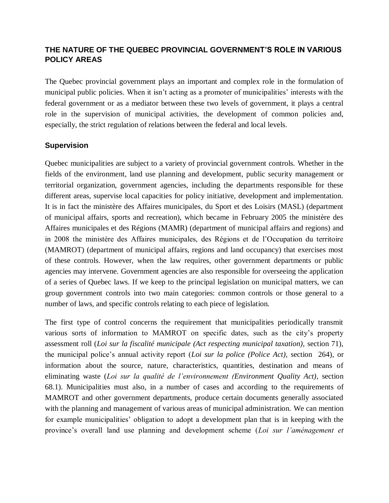#### **THE NATURE OF THE QUEBEC PROVINCIAL GOVERNMENT'S ROLE IN VARIOUS POLICY AREAS**

The Quebec provincial government plays an important and complex role in the formulation of municipal public policies. When it isn't acting as a promoter of municipalities' interests with the federal government or as a mediator between these two levels of government, it plays a central role in the supervision of municipal activities, the development of common policies and, especially, the strict regulation of relations between the federal and local levels.

#### **Supervision**

Quebec municipalities are subject to a variety of provincial government controls. Whether in the fields of the environment, land use planning and development, public security management or territorial organization, government agencies, including the departments responsible for these different areas, supervise local capacities for policy initiative, development and implementation. It is in fact the ministère des Affaires municipales, du Sport et des Loisirs (MASL) (department of municipal affairs, sports and recreation), which became in February 2005 the ministère des Affaires municipales et des Régions (MAMR) (department of municipal affairs and regions) and in 2008 the ministère des Affaires municipales, des Régions et de l'Occupation du territoire (MAMROT) (department of municipal affairs, regions and land occupancy) that exercises most of these controls. However, when the law requires, other government departments or public agencies may intervene. Government agencies are also responsible for overseeing the application of a series of Quebec laws. If we keep to the principal legislation on municipal matters, we can group government controls into two main categories: common controls or those general to a number of laws, and specific controls relating to each piece of legislation.

The first type of control concerns the requirement that municipalities periodically transmit various sorts of information to MAMROT on specific dates, such as the city's property assessment roll (*Loi sur la fiscalité municipale (Act respecting municipal taxation),* section 71), the municipal police's annual activity report (*Loi sur la police (Police Act)*, section 264), or information about the source, nature, characteristics, quantities, destination and means of eliminating waste (*Loi sur la qualité de l'environnement (Environment Quality Act)*, section 68.1). Municipalities must also, in a number of cases and according to the requirements of MAMROT and other government departments, produce certain documents generally associated with the planning and management of various areas of municipal administration. We can mention for example municipalities' obligation to adopt a development plan that is in keeping with the province's overall land use planning and development scheme (*Loi sur l'aménagement et*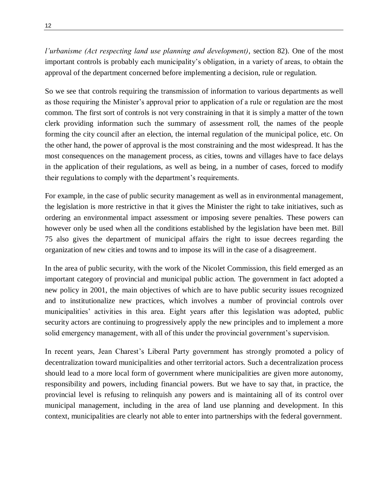*l'urbanisme (Act respecting land use planning and development)*, section 82). One of the most important controls is probably each municipality's obligation, in a variety of areas, to obtain the approval of the department concerned before implementing a decision, rule or regulation.

So we see that controls requiring the transmission of information to various departments as well as those requiring the Minister's approval prior to application of a rule or regulation are the most common. The first sort of controls is not very constraining in that it is simply a matter of the town clerk providing information such the summary of assessment roll, the names of the people forming the city council after an election, the internal regulation of the municipal police, etc. On the other hand, the power of approval is the most constraining and the most widespread. It has the most consequences on the management process, as cities, towns and villages have to face delays in the application of their regulations, as well as being, in a number of cases, forced to modify their regulations to comply with the department's requirements.

For example, in the case of public security management as well as in environmental management, the legislation is more restrictive in that it gives the Minister the right to take initiatives, such as ordering an environmental impact assessment or imposing severe penalties. These powers can however only be used when all the conditions established by the legislation have been met. Bill 75 also gives the department of municipal affairs the right to issue decrees regarding the organization of new cities and towns and to impose its will in the case of a disagreement.

In the area of public security, with the work of the Nicolet Commission, this field emerged as an important category of provincial and municipal public action. The government in fact adopted a new policy in 2001, the main objectives of which are to have public security issues recognized and to institutionalize new practices, which involves a number of provincial controls over municipalities' activities in this area. Eight years after this legislation was adopted, public security actors are continuing to progressively apply the new principles and to implement a more solid emergency management, with all of this under the provincial government's supervision.

In recent years, Jean Charest's Liberal Party government has strongly promoted a policy of decentralization toward municipalities and other territorial actors. Such a decentralization process should lead to a more local form of government where municipalities are given more autonomy, responsibility and powers, including financial powers. But we have to say that, in practice, the provincial level is refusing to relinquish any powers and is maintaining all of its control over municipal management, including in the area of land use planning and development. In this context, municipalities are clearly not able to enter into partnerships with the federal government.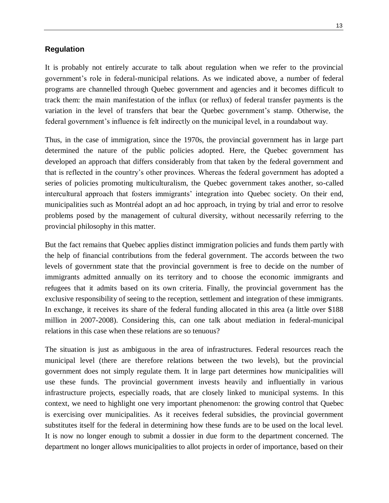#### **Regulation**

It is probably not entirely accurate to talk about regulation when we refer to the provincial government's role in federal-municipal relations. As we indicated above, a number of federal programs are channelled through Quebec government and agencies and it becomes difficult to track them: the main manifestation of the influx (or reflux) of federal transfer payments is the variation in the level of transfers that bear the Quebec government's stamp. Otherwise, the federal government's influence is felt indirectly on the municipal level, in a roundabout way.

Thus, in the case of immigration, since the 1970s, the provincial government has in large part determined the nature of the public policies adopted. Here, the Quebec government has developed an approach that differs considerably from that taken by the federal government and that is reflected in the country's other provinces. Whereas the federal government has adopted a series of policies promoting multiculturalism, the Quebec government takes another, so-called intercultural approach that fosters immigrants' integration into Quebec society. On their end, municipalities such as Montréal adopt an ad hoc approach, in trying by trial and error to resolve problems posed by the management of cultural diversity, without necessarily referring to the provincial philosophy in this matter.

But the fact remains that Quebec applies distinct immigration policies and funds them partly with the help of financial contributions from the federal government. The accords between the two levels of government state that the provincial government is free to decide on the number of immigrants admitted annually on its territory and to choose the economic immigrants and refugees that it admits based on its own criteria. Finally, the provincial government has the exclusive responsibility of seeing to the reception, settlement and integration of these immigrants. In exchange, it receives its share of the federal funding allocated in this area (a little over \$188 million in 2007-2008). Considering this, can one talk about mediation in federal-municipal relations in this case when these relations are so tenuous?

The situation is just as ambiguous in the area of infrastructures. Federal resources reach the municipal level (there are therefore relations between the two levels), but the provincial government does not simply regulate them. It in large part determines how municipalities will use these funds. The provincial government invests heavily and influentially in various infrastructure projects, especially roads, that are closely linked to municipal systems. In this context, we need to highlight one very important phenomenon: the growing control that Quebec is exercising over municipalities. As it receives federal subsidies, the provincial government substitutes itself for the federal in determining how these funds are to be used on the local level. It is now no longer enough to submit a dossier in due form to the department concerned. The department no longer allows municipalities to allot projects in order of importance, based on their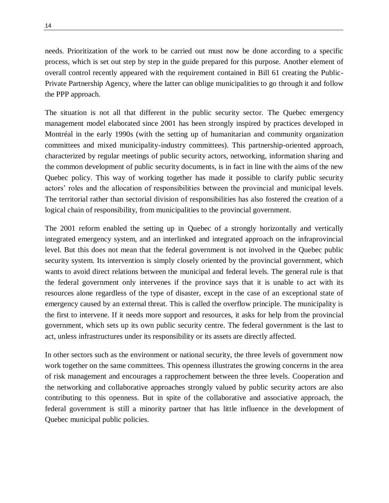needs. Prioritization of the work to be carried out must now be done according to a specific process, which is set out step by step in the guide prepared for this purpose. Another element of overall control recently appeared with the requirement contained in Bill 61 creating the Public-Private Partnership Agency, where the latter can oblige municipalities to go through it and follow the PPP approach.

The situation is not all that different in the public security sector. The Quebec emergency management model elaborated since 2001 has been strongly inspired by practices developed in Montréal in the early 1990s (with the setting up of humanitarian and community organization committees and mixed municipality-industry committees). This partnership-oriented approach, characterized by regular meetings of public security actors, networking, information sharing and the common development of public security documents, is in fact in line with the aims of the new Quebec policy. This way of working together has made it possible to clarify public security actors' roles and the allocation of responsibilities between the provincial and municipal levels. The territorial rather than sectorial division of responsibilities has also fostered the creation of a logical chain of responsibility, from municipalities to the provincial government.

The 2001 reform enabled the setting up in Quebec of a strongly horizontally and vertically integrated emergency system, and an interlinked and integrated approach on the infraprovincial level. But this does not mean that the federal government is not involved in the Quebec public security system. Its intervention is simply closely oriented by the provincial government, which wants to avoid direct relations between the municipal and federal levels. The general rule is that the federal government only intervenes if the province says that it is unable to act with its resources alone regardless of the type of disaster, except in the case of an exceptional state of emergency caused by an external threat. This is called the overflow principle. The municipality is the first to intervene. If it needs more support and resources, it asks for help from the provincial government, which sets up its own public security centre. The federal government is the last to act, unless infrastructures under its responsibility or its assets are directly affected.

In other sectors such as the environment or national security, the three levels of government now work together on the same committees. This openness illustrates the growing concerns in the area of risk management and encourages a rapprochement between the three levels. Cooperation and the networking and collaborative approaches strongly valued by public security actors are also contributing to this openness. But in spite of the collaborative and associative approach, the federal government is still a minority partner that has little influence in the development of Quebec municipal public policies.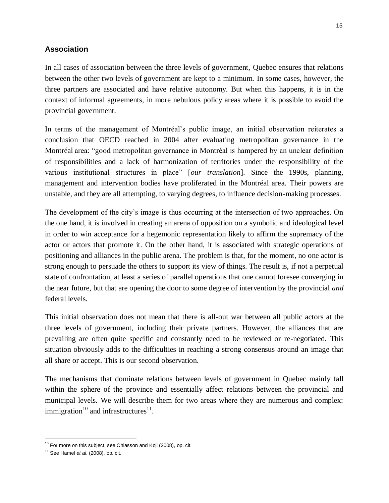#### **Association**

In all cases of association between the three levels of government, Quebec ensures that relations between the other two levels of government are kept to a minimum. In some cases, however, the three partners are associated and have relative autonomy. But when this happens, it is in the context of informal agreements, in more nebulous policy areas where it is possible to avoid the provincial government.

In terms of the management of Montréal's public image, an initial observation reiterates a conclusion that OECD reached in 2004 after evaluating metropolitan governance in the Montréal area: "good metropolitan governance in Montréal is hampered by an unclear definition of responsibilities and a lack of harmonization of territories under the responsibility of the various institutional structures in place‖ [*our translation*]. Since the 1990s, planning, management and intervention bodies have proliferated in the Montréal area. Their powers are unstable, and they are all attempting, to varying degrees, to influence decision-making processes.

The development of the city's image is thus occurring at the intersection of two approaches. On the one hand, it is involved in creating an arena of opposition on a symbolic and ideological level in order to win acceptance for a hegemonic representation likely to affirm the supremacy of the actor or actors that promote it. On the other hand, it is associated with strategic operations of positioning and alliances in the public arena. The problem is that, for the moment, no one actor is strong enough to persuade the others to support its view of things. The result is, if not a perpetual state of confrontation, at least a series of parallel operations that one cannot foresee converging in the near future, but that are opening the door to some degree of intervention by the provincial *and* federal levels.

This initial observation does not mean that there is all-out war between all public actors at the three levels of government, including their private partners. However, the alliances that are prevailing are often quite specific and constantly need to be reviewed or re-negotiated. This situation obviously adds to the difficulties in reaching a strong consensus around an image that all share or accept. This is our second observation.

The mechanisms that dominate relations between levels of government in Quebec mainly fall within the sphere of the province and essentially affect relations between the provincial and municipal levels. We will describe them for two areas where they are numerous and complex: immigration $10$  and infrastructures $11$ .

 $10$  For more on this subject, see Chiasson and Koji (2008), op. cit.

<sup>11</sup> See Hamel *et al*. (2008), op. cit.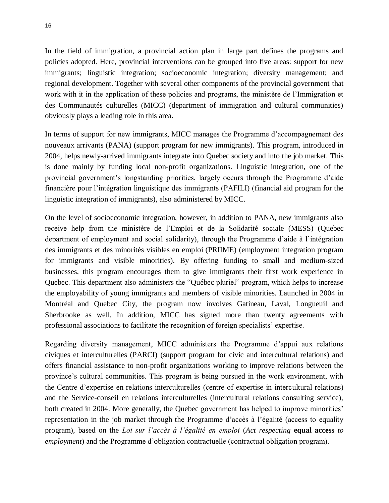In the field of immigration, a provincial action plan in large part defines the programs and policies adopted. Here, provincial interventions can be grouped into five areas: support for new immigrants; linguistic integration; socioeconomic integration; diversity management; and regional development. Together with several other components of the provincial government that work with it in the application of these policies and programs, the ministère de l'Immigration et des Communautés culturelles (MICC) (department of immigration and cultural communities) obviously plays a leading role in this area.

In terms of support for new immigrants, MICC manages the Programme d'accompagnement des nouveaux arrivants (PANA) (support program for new immigrants). This program, introduced in 2004, helps newly-arrived immigrants integrate into Quebec society and into the job market. This is done mainly by funding local non-profit organizations. Linguistic integration, one of the provincial government's longstanding priorities, largely occurs through the Programme d'aide financière pour l'intégration linguistique des immigrants (PAFILI) (financial aid program for the linguistic integration of immigrants), also administered by MICC.

On the level of socioeconomic integration, however, in addition to PANA, new immigrants also receive help from the ministère de l'Emploi et de la Solidarité sociale (MESS) (Quebec department of employment and social solidarity), through the Programme d'aide à l'intégration des immigrants et des minorités visibles en emploi (PRIIME) (employment integration program for immigrants and visible minorities). By offering funding to small and medium-sized businesses, this program encourages them to give immigrants their first work experience in Quebec. This department also administers the "Québec pluriel" program, which helps to increase the employability of young immigrants and members of visible minorities. Launched in 2004 in Montréal and Quebec City, the program now involves Gatineau, Laval, Longueuil and Sherbrooke as well. In addition, MICC has signed more than twenty agreements with professional associations to facilitate the recognition of foreign specialists' expertise.

Regarding diversity management, MICC administers the Programme d'appui aux relations civiques et interculturelles (PARCI) (support program for civic and intercultural relations) and offers financial assistance to non-profit organizations working to improve relations between the province's cultural communities. This program is being pursued in the work environment, with the Centre d'expertise en relations interculturelles (centre of expertise in intercultural relations) and the Service-conseil en relations interculturelles (intercultural relations consulting service), both created in 2004. More generally, the Quebec government has helped to improve minorities' representation in the job market through the Programme d'accès à l'égalité (access to equality program), based on the *Loi sur l'accès à l'égalité en emploi* (*Act respecting* **equal access** *to employment*) and the Programme d'obligation contractuelle (contractual obligation program).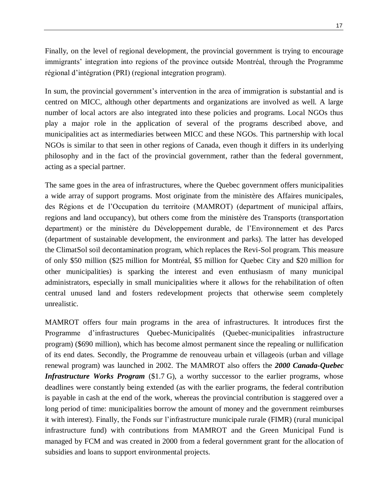Finally, on the level of regional development, the provincial government is trying to encourage immigrants' integration into regions of the province outside Montréal, through the Programme régional d'intégration (PRI) (regional integration program).

In sum, the provincial government's intervention in the area of immigration is substantial and is centred on MICC, although other departments and organizations are involved as well. A large number of local actors are also integrated into these policies and programs. Local NGOs thus play a major role in the application of several of the programs described above, and municipalities act as intermediaries between MICC and these NGOs. This partnership with local NGOs is similar to that seen in other regions of Canada, even though it differs in its underlying philosophy and in the fact of the provincial government, rather than the federal government, acting as a special partner.

The same goes in the area of infrastructures, where the Quebec government offers municipalities a wide array of support programs. Most originate from the ministère des Affaires municipales, des Régions et de l'Occupation du territoire (MAMROT) (department of municipal affairs, regions and land occupancy), but others come from the ministère des Transports (transportation department) or the ministère du Développement durable, de l'Environnement et des Parcs (department of sustainable development, the environment and parks). The latter has developed the ClimatSol soil decontamination program, which replaces the Revi-Sol program. This measure of only \$50 million (\$25 million for Montréal, \$5 million for Quebec City and \$20 million for other municipalities) is sparking the interest and even enthusiasm of many municipal administrators, especially in small municipalities where it allows for the rehabilitation of often central unused land and fosters redevelopment projects that otherwise seem completely unrealistic.

MAMROT offers four main programs in the area of infrastructures. It introduces first the Programme d'infrastructures Quebec-Municipalités (Quebec-municipalities infrastructure program) (\$690 million), which has become almost permanent since the repealing or nullification of its end dates. Secondly, the Programme de renouveau urbain et villageois (urban and village renewal program) was launched in 2002. The MAMROT also offers the *2000 Canada-Quebec Infrastructure Works Program* (\$1.7 G), a worthy successor to the earlier programs, whose deadlines were constantly being extended (as with the earlier programs, the federal contribution is payable in cash at the end of the work, whereas the provincial contribution is staggered over a long period of time: municipalities borrow the amount of money and the government reimburses it with interest). Finally, the Fonds sur l'infrastructure municipale rurale (FIMR) (rural municipal infrastructure fund) with contributions from MAMROT and the Green Municipal Fund is managed by FCM and was created in 2000 from a federal government grant for the allocation of subsidies and loans to support environmental projects.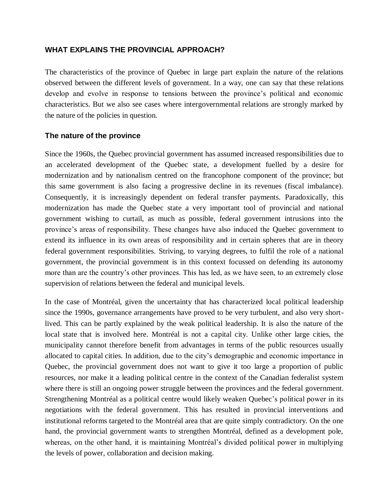#### **WHAT EXPLAINS THE PROVINCIAL APPROACH?**

The characteristics of the province of Quebec in large part explain the nature of the relations observed between the different levels of government. In a way, one can say that these relations develop and evolve in response to tensions between the province's political and economic characteristics. But we also see cases where intergovernmental relations are strongly marked by the nature of the policies in question.

#### **The nature of the province**

Since the 1960s, the Quebec provincial government has assumed increased responsibilities due to an accelerated development of the Quebec state, a development fuelled by a desire for modernization and by nationalism centred on the francophone component of the province; but this same government is also facing a progressive decline in its revenues (fiscal imbalance). Consequently, it is increasingly dependent on federal transfer payments. Paradoxically, this modernization has made the Quebec state a very important tool of provincial and national government wishing to curtail, as much as possible, federal government intrusions into the province's areas of responsibility. These changes have also induced the Quebec government to extend its influence in its own areas of responsibility and in certain spheres that are in theory federal government responsibilities. Striving, to varying degrees, to fulfil the role of a national government, the provincial government is in this context focussed on defending its autonomy more than are the country's other provinces. This has led, as we have seen, to an extremely close supervision of relations between the federal and municipal levels.

In the case of Montréal, given the uncertainty that has characterized local political leadership since the 1990s, governance arrangements have proved to be very turbulent, and also very shortlived. This can be partly explained by the weak political leadership. It is also the nature of the local state that is involved here. Montréal is not a capital city. Unlike other large cities, the municipality cannot therefore benefit from advantages in terms of the public resources usually allocated to capital cities. In addition, due to the city's demographic and economic importance in Quebec, the provincial government does not want to give it too large a proportion of public resources, nor make it a leading political centre in the context of the Canadian federalist system where there is still an ongoing power struggle between the provinces and the federal government. Strengthening Montréal as a political centre would likely weaken Quebec's political power in its negotiations with the federal government. This has resulted in provincial interventions and institutional reforms targeted to the Montréal area that are quite simply contradictory. On the one hand, the provincial government wants to strengthen Montréal, defined as a development pole, whereas, on the other hand, it is maintaining Montréal's divided political power in multiplying the levels of power, collaboration and decision making.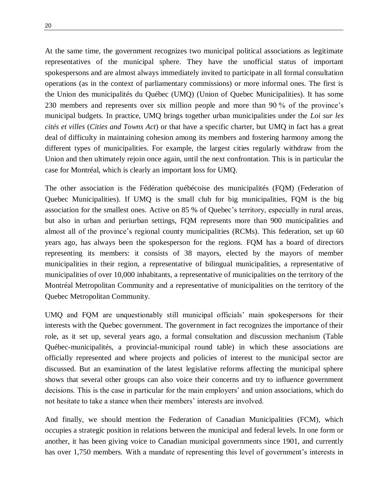At the same time, the government recognizes two municipal political associations as legitimate representatives of the municipal sphere. They have the unofficial status of important spokespersons and are almost always immediately invited to participate in all formal consultation operations (as in the context of parliamentary commissions) or more informal ones. The first is the Union des municipalités du Québec (UMQ) (Union of Quebec Municipalities). It has some 230 members and represents over six million people and more than 90 % of the province's municipal budgets. In practice, UMQ brings together urban municipalities under the *Loi sur les cités et villes* (*Cities and Towns Act*) or that have a specific charter, but UMQ in fact has a great deal of difficulty in maintaining cohesion among its members and fostering harmony among the different types of municipalities. For example, the largest cities regularly withdraw from the Union and then ultimately rejoin once again, until the next confrontation. This is in particular the case for Montréal, which is clearly an important loss for UMQ.

The other association is the Fédération québécoise des municipalités (FQM) (Federation of Quebec Municipalities). If UMQ is the small club for big municipalities, FQM is the big association for the smallest ones. Active on 85 % of Quebec's territory, especially in rural areas, but also in urban and periurban settings, FQM represents more than 900 municipalities and almost all of the province's regional county municipalities (RCMs). This federation, set up 60 years ago, has always been the spokesperson for the regions. FQM has a board of directors representing its members: it consists of 38 mayors, elected by the mayors of member municipalities in their region, a representative of bilingual municipalities, a representative of municipalities of over 10,000 inhabitants, a representative of municipalities on the territory of the Montréal Metropolitan Community and a representative of municipalities on the territory of the Quebec Metropolitan Community.

UMQ and FQM are unquestionably still municipal officials' main spokespersons for their interests with the Quebec government. The government in fact recognizes the importance of their role, as it set up, several years ago, a formal consultation and discussion mechanism (Table Québec-municipalités, a provincial-municipal round table) in which these associations are officially represented and where projects and policies of interest to the municipal sector are discussed. But an examination of the latest legislative reforms affecting the municipal sphere shows that several other groups can also voice their concerns and try to influence government decisions. This is the case in particular for the main employers' and union associations, which do not hesitate to take a stance when their members' interests are involved.

And finally, we should mention the Federation of Canadian Municipalities (FCM), which occupies a strategic position in relations between the municipal and federal levels. In one form or another, it has been giving voice to Canadian municipal governments since 1901, and currently has over 1,750 members. With a mandate of representing this level of government's interests in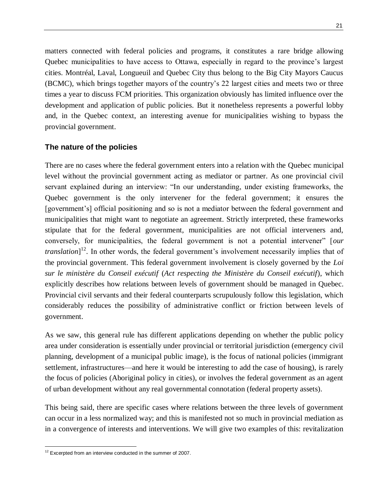matters connected with federal policies and programs, it constitutes a rare bridge allowing Quebec municipalities to have access to Ottawa, especially in regard to the province's largest cities. Montréal, Laval, Longueuil and Quebec City thus belong to the Big City Mayors Caucus (BCMC), which brings together mayors of the country's 22 largest cities and meets two or three times a year to discuss FCM priorities. This organization obviously has limited influence over the development and application of public policies. But it nonetheless represents a powerful lobby and, in the Quebec context, an interesting avenue for municipalities wishing to bypass the provincial government.

#### **The nature of the policies**

There are no cases where the federal government enters into a relation with the Quebec municipal level without the provincial government acting as mediator or partner. As one provincial civil servant explained during an interview: "In our understanding, under existing frameworks, the Quebec government is the only intervener for the federal government; it ensures the [government's] official positioning and so is not a mediator between the federal government and municipalities that might want to negotiate an agreement. Strictly interpreted, these frameworks stipulate that for the federal government, municipalities are not official interveners and, conversely, for municipalities, the federal government is not a potential intervener" [*our translation*]<sup>12</sup>. In other words, the federal government's involvement necessarily implies that of the provincial government. This federal government involvement is closely governed by the *Loi sur le ministère du Conseil exécutif* (*Act respecting the Ministère du Conseil exécutif*), which explicitly describes how relations between levels of government should be managed in Quebec. Provincial civil servants and their federal counterparts scrupulously follow this legislation, which considerably reduces the possibility of administrative conflict or friction between levels of government.

As we saw, this general rule has different applications depending on whether the public policy area under consideration is essentially under provincial or territorial jurisdiction (emergency civil planning, development of a municipal public image), is the focus of national policies (immigrant settlement, infrastructures—and here it would be interesting to add the case of housing), is rarely the focus of policies (Aboriginal policy in cities), or involves the federal government as an agent of urban development without any real governmental connotation (federal property assets).

This being said, there are specific cases where relations between the three levels of government can occur in a less normalized way; and this is manifested not so much in provincial mediation as in a convergence of interests and interventions. We will give two examples of this: revitalization

 $\overline{a}$  $12$  Excerpted from an interview conducted in the summer of 2007.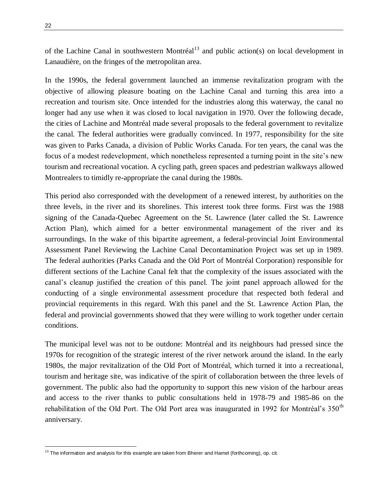of the Lachine Canal in southwestern Montréal<sup>13</sup> and public action(s) on local development in Lanaudière, on the fringes of the metropolitan area.

In the 1990s, the federal government launched an immense revitalization program with the objective of allowing pleasure boating on the Lachine Canal and turning this area into a recreation and tourism site. Once intended for the industries along this waterway, the canal no longer had any use when it was closed to local navigation in 1970. Over the following decade, the cities of Lachine and Montréal made several proposals to the federal government to revitalize the canal. The federal authorities were gradually convinced. In 1977, responsibility for the site was given to Parks Canada, a division of Public Works Canada. For ten years, the canal was the focus of a modest redevelopment, which nonetheless represented a turning point in the site's new tourism and recreational vocation. A cycling path, green spaces and pedestrian walkways allowed Montrealers to timidly re-appropriate the canal during the 1980s.

This period also corresponded with the development of a renewed interest, by authorities on the three levels, in the river and its shorelines. This interest took three forms. First was the 1988 signing of the Canada-Quebec Agreement on the St. Lawrence (later called the St. Lawrence Action Plan), which aimed for a better environmental management of the river and its surroundings. In the wake of this bipartite agreement, a federal-provincial Joint Environmental Assessment Panel Reviewing the Lachine Canal Decontamination Project was set up in 1989. The federal authorities (Parks Canada and the Old Port of Montréal Corporation) responsible for different sections of the Lachine Canal felt that the complexity of the issues associated with the canal's cleanup justified the creation of this panel. The joint panel approach allowed for the conducting of a single environmental assessment procedure that respected both federal and provincial requirements in this regard. With this panel and the St. Lawrence Action Plan, the federal and provincial governments showed that they were willing to work together under certain conditions.

The municipal level was not to be outdone: Montréal and its neighbours had pressed since the 1970s for recognition of the strategic interest of the river network around the island. In the early 1980s, the major revitalization of the Old Port of Montréal, which turned it into a recreational, tourism and heritage site, was indicative of the spirit of collaboration between the three levels of government. The public also had the opportunity to support this new vision of the harbour areas and access to the river thanks to public consultations held in 1978-79 and 1985-86 on the rehabilitation of the Old Port. The Old Port area was inaugurated in 1992 for Montréal's  $350<sup>th</sup>$ anniversary.

 $^{13}$  The information and analysis for this example are taken from Bherer and Hamel (forthcoming), op. cit.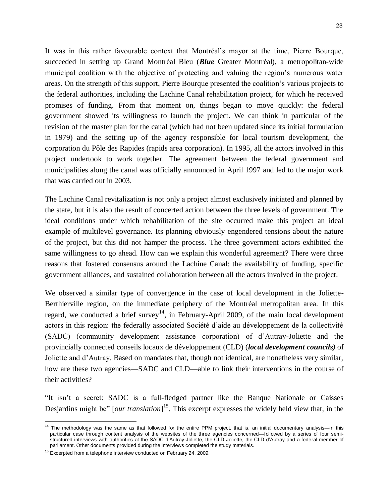23

It was in this rather favourable context that Montréal's mayor at the time, Pierre Bourque, succeeded in setting up Grand Montréal Bleu (*Blue* Greater Montréal), a metropolitan-wide municipal coalition with the objective of protecting and valuing the region's numerous water areas. On the strength of this support, Pierre Bourque presented the coalition's various projects to the federal authorities, including the Lachine Canal rehabilitation project, for which he received promises of funding. From that moment on, things began to move quickly: the federal government showed its willingness to launch the project. We can think in particular of the revision of the master plan for the canal (which had not been updated since its initial formulation in 1979) and the setting up of the agency responsible for local tourism development, the corporation du Pôle des Rapides (rapids area corporation). In 1995, all the actors involved in this project undertook to work together. The agreement between the federal government and municipalities along the canal was officially announced in April 1997 and led to the major work that was carried out in 2003.

The Lachine Canal revitalization is not only a project almost exclusively initiated and planned by the state, but it is also the result of concerted action between the three levels of government. The ideal conditions under which rehabilitation of the site occurred make this project an ideal example of multilevel governance. Its planning obviously engendered tensions about the nature of the project, but this did not hamper the process. The three government actors exhibited the same willingness to go ahead. How can we explain this wonderful agreement? There were three reasons that fostered consensus around the Lachine Canal: the availability of funding, specific government alliances, and sustained collaboration between all the actors involved in the project.

We observed a similar type of convergence in the case of local development in the Joliette-Berthierville region, on the immediate periphery of the Montréal metropolitan area. In this regard, we conducted a brief survey<sup>14</sup>, in February-April 2009, of the main local development actors in this region: the federally associated Société d'aide au développement de la collectivité (SADC) (community development assistance corporation) of d'Autray-Joliette and the provincially connected conseils locaux de développement (CLD) (*local development councils)* of Joliette and d'Autray. Based on mandates that, though not identical, are nonetheless very similar, how are these two agencies—SADC and CLD—able to link their interventions in the course of their activities?

"It isn't a secret: SADC is a full-fledged partner like the Banque Nationale or Caisses Desjardins might be" [*our translation*]<sup>15</sup>. This excerpt expresses the widely held view that, in the

<sup>&</sup>lt;sup>14</sup> The methodology was the same as that followed for the entire PPM project, that is, an initial documentary analysis—in this particular case through content analysis of the websites of the three agencies concerned—followed by a series of four semistructured interviews with authorities at the SADC d'Autray-Joliette, the CLD Joliette, the CLD d'Autray and a federal member of parliament. Other documents provided during the interviews completed the study materials.

 $15$  Excerpted from a telephone interview conducted on February 24, 2009.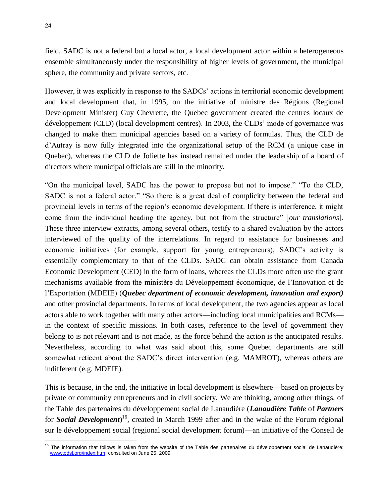field, SADC is not a federal but a local actor, a local development actor within a heterogeneous ensemble simultaneously under the responsibility of higher levels of government, the municipal sphere, the community and private sectors, etc.

However, it was explicitly in response to the SADCs' actions in territorial economic development and local development that, in 1995, on the initiative of ministre des Régions (Regional Development Minister) Guy Chevrette, the Quebec government created the centres locaux de développement (CLD) (local development centres). In 2003, the CLDs' mode of governance was changed to make them municipal agencies based on a variety of formulas. Thus, the CLD de d'Autray is now fully integrated into the organizational setup of the RCM (a unique case in Quebec), whereas the CLD de Joliette has instead remained under the leadership of a board of directors where municipal officials are still in the minority.

"On the municipal level, SADC has the power to propose but not to impose." "To the CLD, SADC is not a federal actor." "So there is a great deal of complicity between the federal and provincial levels in terms of the region's economic development. If there is interference, it might come from the individual heading the agency, but not from the structure" [*our translations*]. These three interview extracts, among several others, testify to a shared evaluation by the actors interviewed of the quality of the interrelations. In regard to assistance for businesses and economic initiatives (for example, support for young entrepreneurs), SADC's activity is essentially complementary to that of the CLDs. SADC can obtain assistance from Canada Economic Development (CED) in the form of loans, whereas the CLDs more often use the grant mechanisms available from the ministère du Développement économique, de l'Innovation et de l'Exportation (MDEIE) (*Quebec department of economic development, innovation and export)* and other provincial departments. In terms of local development, the two agencies appear as local actors able to work together with many other actors—including local municipalities and RCMs in the context of specific missions. In both cases, reference to the level of government they belong to is not relevant and is not made, as the force behind the action is the anticipated results. Nevertheless, according to what was said about this, some Quebec departments are still somewhat reticent about the SADC's direct intervention (e.g. MAMROT), whereas others are indifferent (e.g. MDEIE).

This is because, in the end, the initiative in local development is elsewhere—based on projects by private or community entrepreneurs and in civil society. We are thinking, among other things, of the Table des partenaires du développement social de Lanaudière (*Lanaudière Table* of *Partners* for *Social Development*) <sup>16</sup>, created in March 1999 after and in the wake of the Forum régional sur le développement social (regional social development forum)—an initiative of the Conseil de

<sup>&</sup>lt;sup>16</sup> The information that follows is taken from the website of the Table des partenaires du développement social de Lanaudière: [www.tpdsl.org/index.htm,](http://www.tpdsl.org/index.htm) consulted on June 25, 2009.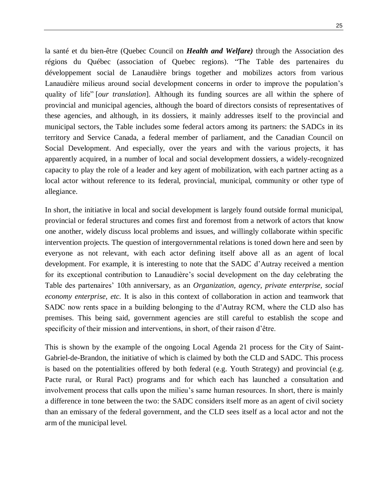la santé et du bien-être (Quebec Council on *Health and Welfare)* through the Association des régions du Québec (association of Quebec regions). "The Table des partenaires du développement social de Lanaudière brings together and mobilizes actors from various Lanaudière milieus around social development concerns in order to improve the population's quality of life" [*our translation*]. Although its funding sources are all within the sphere of provincial and municipal agencies, although the board of directors consists of representatives of these agencies, and although, in its dossiers, it mainly addresses itself to the provincial and municipal sectors, the Table includes some federal actors among its partners: the SADCs in its territory and Service Canada, a federal member of parliament, and the Canadian Council on Social Development. And especially, over the years and with the various projects, it has apparently acquired, in a number of local and social development dossiers, a widely-recognized capacity to play the role of a leader and key agent of mobilization, with each partner acting as a local actor without reference to its federal, provincial, municipal, community or other type of allegiance.

In short, the initiative in local and social development is largely found outside formal municipal, provincial or federal structures and comes first and foremost from a network of actors that know one another, widely discuss local problems and issues, and willingly collaborate within specific intervention projects. The question of intergovernmental relations is toned down here and seen by everyone as not relevant, with each actor defining itself above all as an agent of local development. For example, it is interesting to note that the SADC d'Autray received a mention for its exceptional contribution to Lanaudière's social development on the day celebrating the Table des partenaires' 10th anniversary, as an *Organization, agency, private enterprise, social economy enterprise, etc.* It is also in this context of collaboration in action and teamwork that SADC now rents space in a building belonging to the d'Autray RCM, where the CLD also has premises. This being said, government agencies are still careful to establish the scope and specificity of their mission and interventions, in short, of their raison d'être.

This is shown by the example of the ongoing Local Agenda 21 process for the City of Saint-Gabriel-de-Brandon, the initiative of which is claimed by both the CLD and SADC. This process is based on the potentialities offered by both federal (e.g. Youth Strategy) and provincial (e.g. Pacte rural, or Rural Pact) programs and for which each has launched a consultation and involvement process that calls upon the milieu's same human resources. In short, there is mainly a difference in tone between the two: the SADC considers itself more as an agent of civil society than an emissary of the federal government, and the CLD sees itself as a local actor and not the arm of the municipal level.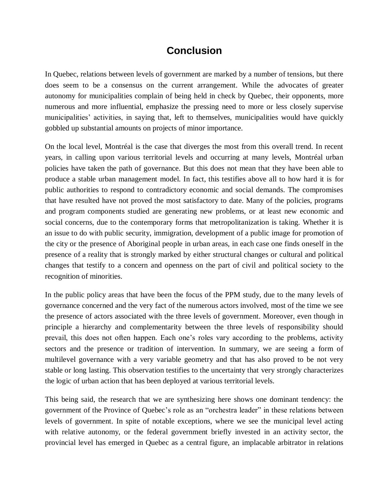## **Conclusion**

In Quebec, relations between levels of government are marked by a number of tensions, but there does seem to be a consensus on the current arrangement. While the advocates of greater autonomy for municipalities complain of being held in check by Quebec, their opponents, more numerous and more influential, emphasize the pressing need to more or less closely supervise municipalities' activities, in saying that, left to themselves, municipalities would have quickly gobbled up substantial amounts on projects of minor importance.

On the local level, Montréal is the case that diverges the most from this overall trend. In recent years, in calling upon various territorial levels and occurring at many levels, Montréal urban policies have taken the path of governance. But this does not mean that they have been able to produce a stable urban management model. In fact, this testifies above all to how hard it is for public authorities to respond to contradictory economic and social demands. The compromises that have resulted have not proved the most satisfactory to date. Many of the policies, programs and program components studied are generating new problems, or at least new economic and social concerns, due to the contemporary forms that metropolitanization is taking. Whether it is an issue to do with public security, immigration, development of a public image for promotion of the city or the presence of Aboriginal people in urban areas, in each case one finds oneself in the presence of a reality that is strongly marked by either structural changes or cultural and political changes that testify to a concern and openness on the part of civil and political society to the recognition of minorities.

In the public policy areas that have been the focus of the PPM study, due to the many levels of governance concerned and the very fact of the numerous actors involved, most of the time we see the presence of actors associated with the three levels of government. Moreover, even though in principle a hierarchy and complementarity between the three levels of responsibility should prevail, this does not often happen. Each one's roles vary according to the problems, activity sectors and the presence or tradition of intervention. In summary, we are seeing a form of multilevel governance with a very variable geometry and that has also proved to be not very stable or long lasting. This observation testifies to the uncertainty that very strongly characterizes the logic of urban action that has been deployed at various territorial levels.

This being said, the research that we are synthesizing here shows one dominant tendency: the government of the Province of Quebec's role as an "orchestra leader" in these relations between levels of government. In spite of notable exceptions, where we see the municipal level acting with relative autonomy, or the federal government briefly invested in an activity sector, the provincial level has emerged in Quebec as a central figure, an implacable arbitrator in relations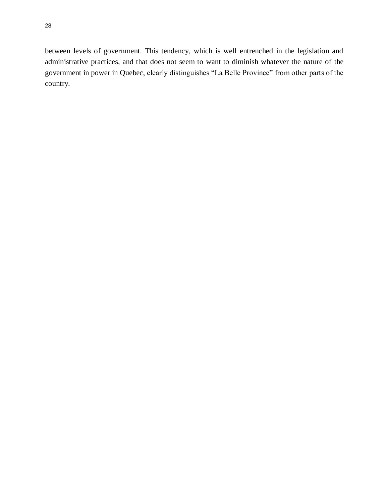between levels of government. This tendency, which is well entrenched in the legislation and administrative practices, and that does not seem to want to diminish whatever the nature of the government in power in Quebec, clearly distinguishes "La Belle Province" from other parts of the country.